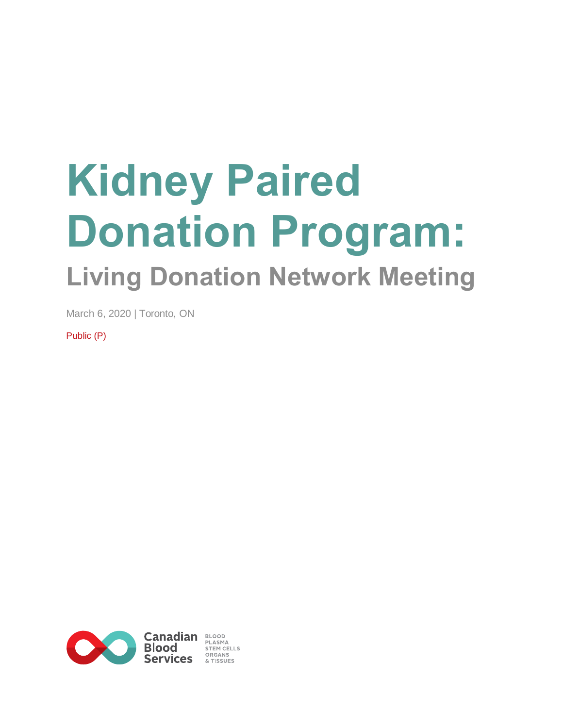# **Kidney Paired Donation Program: Living Donation Network Meeting**

March 6, 2020 | Toronto, ON

Public (P)

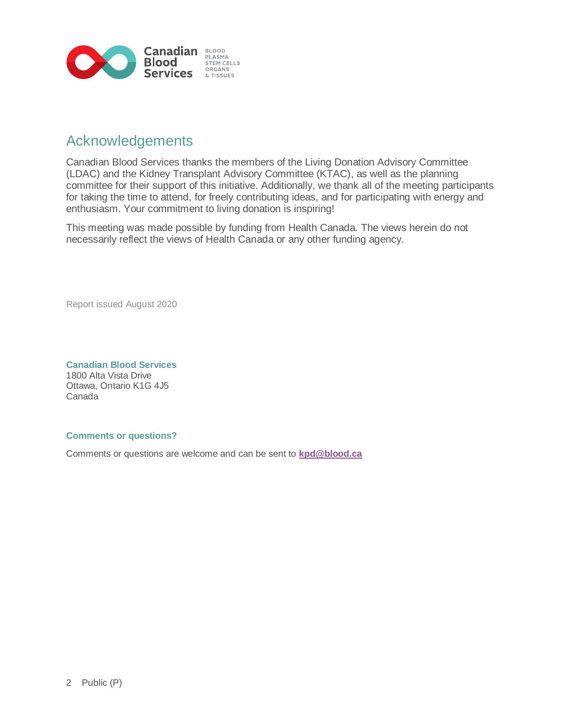

#### Acknowledgements

Canadian Blood Services thanks the members of the Living Donation Advisory Committee (LDAC) and the Kidney Transplant Advisory Committee (KTAC), as well as the planning committee for their support of this initiative. Additionally, we thank all of the meeting participants for taking the time to attend, for freely contributing ideas, and for participating with energy and enthusiasm. Your commitment to living donation is inspiring!

This meeting was made possible by funding from Health Canada. The views herein do not necessarily reflect the views of Health Canada or any other funding agency.

Report issued August 2020

**Canadian Blood Services** 1800 Alta Vista Drive Ottawa, Ontario K1G 4J5 Canada

#### **Comments or questions?**

Comments or questions are welcome and can be sent to **[kpd@blood.ca](mailto:kpd@blood.ca)**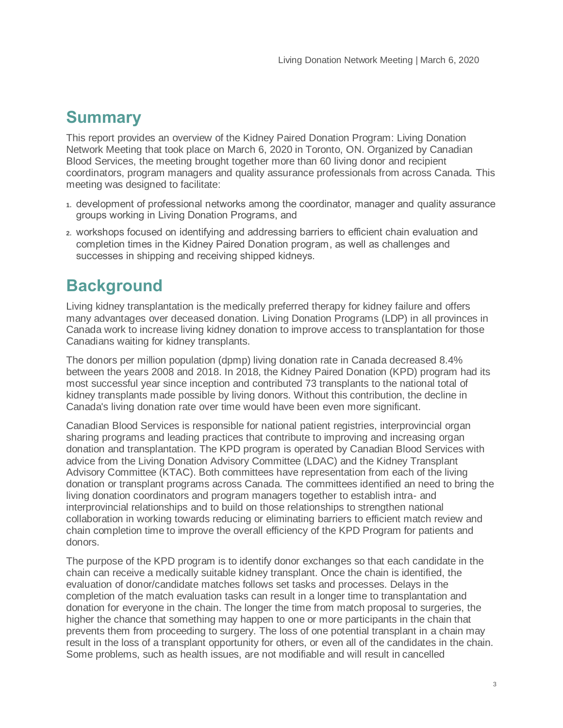## **Summary**

This report provides an overview of the Kidney Paired Donation Program: Living Donation Network Meeting that took place on March 6, 2020 in Toronto, ON. Organized by Canadian Blood Services, the meeting brought together more than 60 living donor and recipient coordinators, program managers and quality assurance professionals from across Canada. This meeting was designed to facilitate:

- **1.** development of professional networks among the coordinator, manager and quality assurance groups working in Living Donation Programs, and
- **2.** workshops focused on identifying and addressing barriers to efficient chain evaluation and completion times in the Kidney Paired Donation program, as well as challenges and successes in shipping and receiving shipped kidneys.

# **Background**

Living kidney transplantation is the medically preferred therapy for kidney failure and offers many advantages over deceased donation. Living Donation Programs (LDP) in all provinces in Canada work to increase living kidney donation to improve access to transplantation for those Canadians waiting for kidney transplants.

The donors per million population (dpmp) living donation rate in Canada decreased 8.4% between the years 2008 and 2018. In 2018, the Kidney Paired Donation (KPD) program had its most successful year since inception and contributed 73 transplants to the national total of kidney transplants made possible by living donors. Without this contribution, the decline in Canada's living donation rate over time would have been even more significant.

Canadian Blood Services is responsible for national patient registries, interprovincial organ sharing programs and leading practices that contribute to improving and increasing organ donation and transplantation. The KPD program is operated by Canadian Blood Services with advice from the Living Donation Advisory Committee (LDAC) and the Kidney Transplant Advisory Committee (KTAC). Both committees have representation from each of the living donation or transplant programs across Canada. The committees identified an need to bring the living donation coordinators and program managers together to establish intra- and interprovincial relationships and to build on those relationships to strengthen national collaboration in working towards reducing or eliminating barriers to efficient match review and chain completion time to improve the overall efficiency of the KPD Program for patients and donors.

The purpose of the KPD program is to identify donor exchanges so that each candidate in the chain can receive a medically suitable kidney transplant. Once the chain is identified, the evaluation of donor/candidate matches follows set tasks and processes. Delays in the completion of the match evaluation tasks can result in a longer time to transplantation and donation for everyone in the chain. The longer the time from match proposal to surgeries, the higher the chance that something may happen to one or more participants in the chain that prevents them from proceeding to surgery. The loss of one potential transplant in a chain may result in the loss of a transplant opportunity for others, or even all of the candidates in the chain. Some problems, such as health issues, are not modifiable and will result in cancelled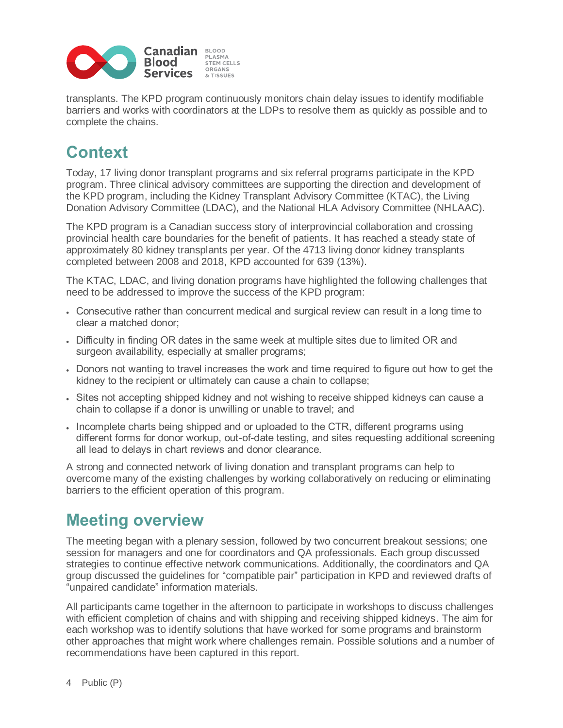

transplants. The KPD program continuously monitors chain delay issues to identify modifiable barriers and works with coordinators at the LDPs to resolve them as quickly as possible and to complete the chains.

# **Context**

Today, 17 living donor transplant programs and six referral programs participate in the KPD program. Three clinical advisory committees are supporting the direction and development of the KPD program, including the Kidney Transplant Advisory Committee (KTAC), the Living Donation Advisory Committee (LDAC), and the National HLA Advisory Committee (NHLAAC).

The KPD program is a Canadian success story of interprovincial collaboration and crossing provincial health care boundaries for the benefit of patients. It has reached a steady state of approximately 80 kidney transplants per year. Of the 4713 living donor kidney transplants completed between 2008 and 2018, KPD accounted for 639 (13%).

The KTAC, LDAC, and living donation programs have highlighted the following challenges that need to be addressed to improve the success of the KPD program:

- Consecutive rather than concurrent medical and surgical review can result in a long time to clear a matched donor;
- Difficulty in finding OR dates in the same week at multiple sites due to limited OR and surgeon availability, especially at smaller programs;
- Donors not wanting to travel increases the work and time required to figure out how to get the kidney to the recipient or ultimately can cause a chain to collapse;
- Sites not accepting shipped kidney and not wishing to receive shipped kidneys can cause a chain to collapse if a donor is unwilling or unable to travel; and
- Incomplete charts being shipped and or uploaded to the CTR, different programs using different forms for donor workup, out-of-date testing, and sites requesting additional screening all lead to delays in chart reviews and donor clearance.

A strong and connected network of living donation and transplant programs can help to overcome many of the existing challenges by working collaboratively on reducing or eliminating barriers to the efficient operation of this program.

### **Meeting overview**

The meeting began with a plenary session, followed by two concurrent breakout sessions; one session for managers and one for coordinators and QA professionals. Each group discussed strategies to continue effective network communications. Additionally, the coordinators and QA group discussed the guidelines for "compatible pair" participation in KPD and reviewed drafts of "unpaired candidate" information materials.

All participants came together in the afternoon to participate in workshops to discuss challenges with efficient completion of chains and with shipping and receiving shipped kidneys. The aim for each workshop was to identify solutions that have worked for some programs and brainstorm other approaches that might work where challenges remain. Possible solutions and a number of recommendations have been captured in this report.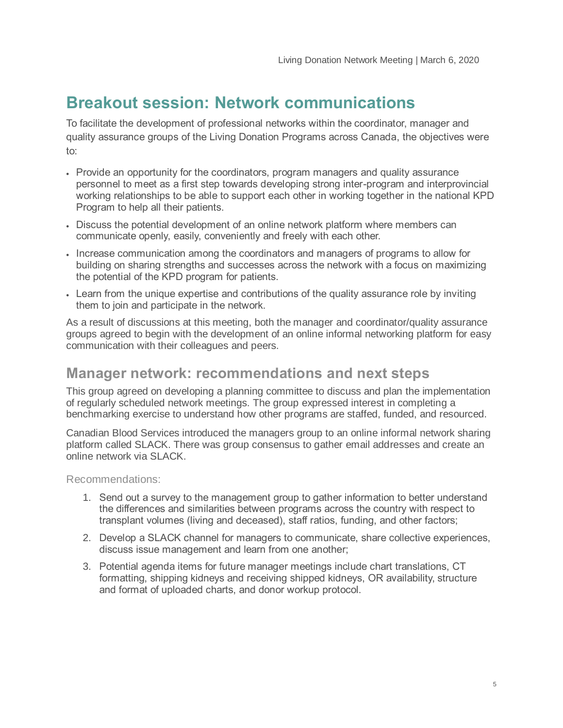# **Breakout session: Network communications**

To facilitate the development of professional networks within the coordinator, manager and quality assurance groups of the Living Donation Programs across Canada, the objectives were to:

- Provide an opportunity for the coordinators, program managers and quality assurance personnel to meet as a first step towards developing strong inter-program and interprovincial working relationships to be able to support each other in working together in the national KPD Program to help all their patients.
- Discuss the potential development of an online network platform where members can communicate openly, easily, conveniently and freely with each other.
- Increase communication among the coordinators and managers of programs to allow for building on sharing strengths and successes across the network with a focus on maximizing the potential of the KPD program for patients.
- Learn from the unique expertise and contributions of the quality assurance role by inviting them to join and participate in the network.

As a result of discussions at this meeting, both the manager and coordinator/quality assurance groups agreed to begin with the development of an online informal networking platform for easy communication with their colleagues and peers.

#### **Manager network: recommendations and next steps**

This group agreed on developing a planning committee to discuss and plan the implementation of regularly scheduled network meetings. The group expressed interest in completing a benchmarking exercise to understand how other programs are staffed, funded, and resourced.

Canadian Blood Services introduced the managers group to an online informal network sharing platform called SLACK. There was group consensus to gather email addresses and create an online network via SLACK.

#### Recommendations:

- 1. Send out a survey to the management group to gather information to better understand the differences and similarities between programs across the country with respect to transplant volumes (living and deceased), staff ratios, funding, and other factors;
- 2. Develop a SLACK channel for managers to communicate, share collective experiences, discuss issue management and learn from one another;
- 3. Potential agenda items for future manager meetings include chart translations, CT formatting, shipping kidneys and receiving shipped kidneys, OR availability, structure and format of uploaded charts, and donor workup protocol.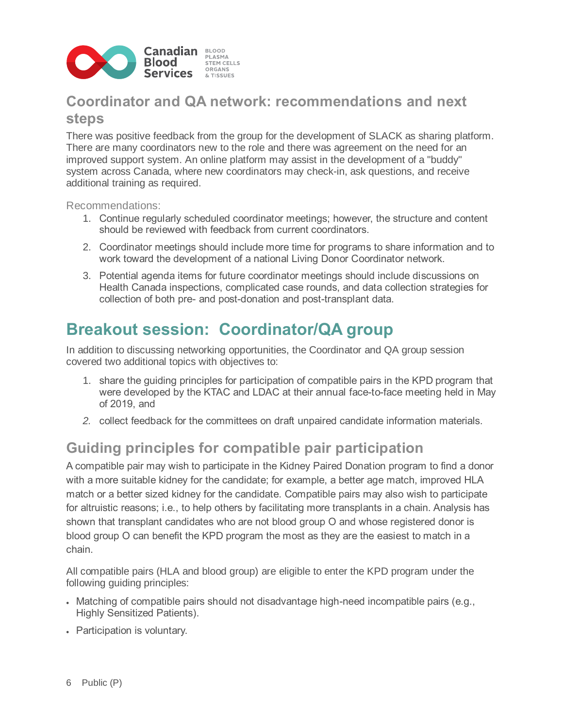

### **Coordinator and QA network: recommendations and next steps**

There was positive feedback from the group for the development of SLACK as sharing platform. There are many coordinators new to the role and there was agreement on the need for an improved support system. An online platform may assist in the development of a "buddy" system across Canada, where new coordinators may check-in, ask questions, and receive additional training as required.

Recommendations:

- 1. Continue regularly scheduled coordinator meetings; however, the structure and content should be reviewed with feedback from current coordinators.
- 2. Coordinator meetings should include more time for programs to share information and to work toward the development of a national Living Donor Coordinator network.
- 3. Potential agenda items for future coordinator meetings should include discussions on Health Canada inspections, complicated case rounds, and data collection strategies for collection of both pre- and post-donation and post-transplant data.

## **Breakout session: Coordinator/QA group**

In addition to discussing networking opportunities, the Coordinator and QA group session covered two additional topics with objectives to:

- 1. share the guiding principles for participation of compatible pairs in the KPD program that were developed by the KTAC and LDAC at their annual face-to-face meeting held in May of 2019, and
- *2.* collect feedback for the committees on draft unpaired candidate information materials.

### **Guiding principles for compatible pair participation**

A compatible pair may wish to participate in the Kidney Paired Donation program to find a donor with a more suitable kidney for the candidate; for example, a better age match, improved HLA match or a better sized kidney for the candidate. Compatible pairs may also wish to participate for altruistic reasons; i.e., to help others by facilitating more transplants in a chain. Analysis has shown that transplant candidates who are not blood group O and whose registered donor is blood group O can benefit the KPD program the most as they are the easiest to match in a chain.

All compatible pairs (HLA and blood group) are eligible to enter the KPD program under the following guiding principles:

- Matching of compatible pairs should not disadvantage high-need incompatible pairs (e.g., Highly Sensitized Patients).
- Participation is voluntary.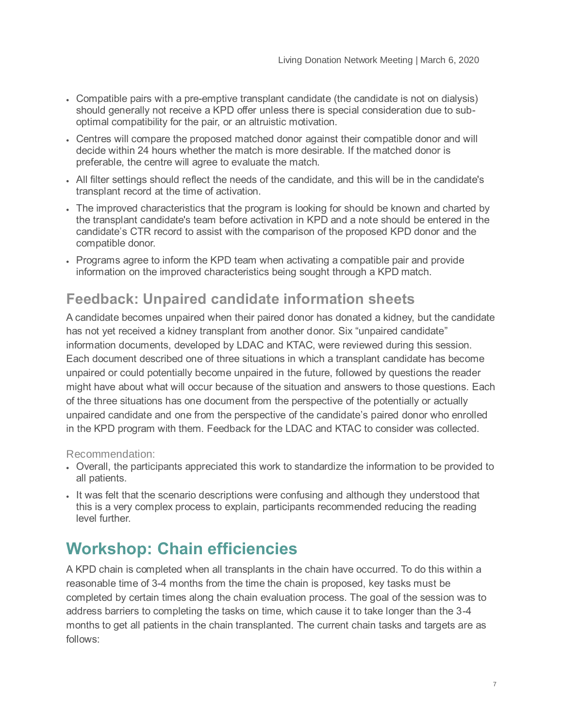- Compatible pairs with a pre-emptive transplant candidate (the candidate is not on dialysis) should generally not receive a KPD offer unless there is special consideration due to suboptimal compatibility for the pair, or an altruistic motivation.
- Centres will compare the proposed matched donor against their compatible donor and will decide within 24 hours whether the match is more desirable. If the matched donor is preferable, the centre will agree to evaluate the match.
- All filter settings should reflect the needs of the candidate, and this will be in the candidate's transplant record at the time of activation.
- The improved characteristics that the program is looking for should be known and charted by the transplant candidate's team before activation in KPD and a note should be entered in the candidate's CTR record to assist with the comparison of the proposed KPD donor and the compatible donor.
- Programs agree to inform the KPD team when activating a compatible pair and provide information on the improved characteristics being sought through a KPD match.

### **Feedback: Unpaired candidate information sheets**

A candidate becomes unpaired when their paired donor has donated a kidney, but the candidate has not yet received a kidney transplant from another donor. Six "unpaired candidate" information documents, developed by LDAC and KTAC, were reviewed during this session. Each document described one of three situations in which a transplant candidate has become unpaired or could potentially become unpaired in the future, followed by questions the reader might have about what will occur because of the situation and answers to those questions. Each of the three situations has one document from the perspective of the potentially or actually unpaired candidate and one from the perspective of the candidate's paired donor who enrolled in the KPD program with them. Feedback for the LDAC and KTAC to consider was collected.

#### Recommendation:

- Overall, the participants appreciated this work to standardize the information to be provided to all patients.
- It was felt that the scenario descriptions were confusing and although they understood that this is a very complex process to explain, participants recommended reducing the reading level further.

# **Workshop: Chain efficiencies**

A KPD chain is completed when all transplants in the chain have occurred. To do this within a reasonable time of 3-4 months from the time the chain is proposed, key tasks must be completed by certain times along the chain evaluation process. The goal of the session was to address barriers to completing the tasks on time, which cause it to take longer than the 3-4 months to get all patients in the chain transplanted. The current chain tasks and targets are as follows: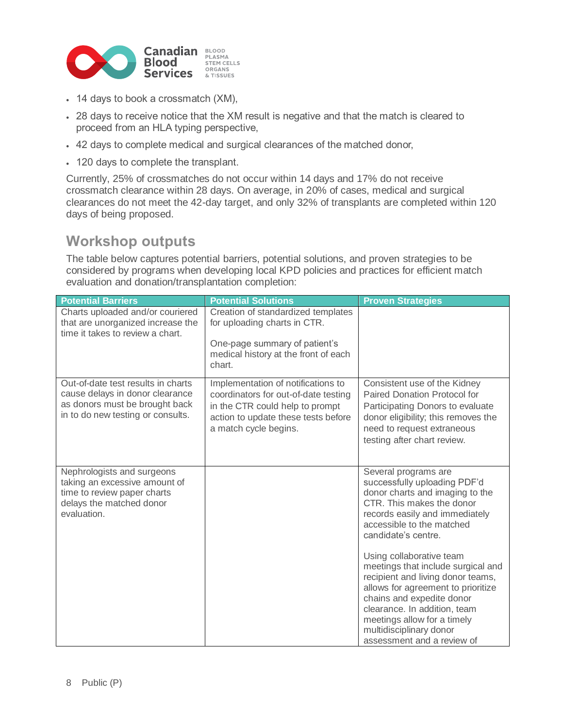

- 14 days to book a crossmatch (XM),
- 28 days to receive notice that the XM result is negative and that the match is cleared to proceed from an HLA typing perspective,
- 42 days to complete medical and surgical clearances of the matched donor,
- 120 days to complete the transplant.

Currently, 25% of crossmatches do not occur within 14 days and 17% do not receive crossmatch clearance within 28 days. On average, in 20% of cases, medical and surgical clearances do not meet the 42-day target, and only 32% of transplants are completed within 120 days of being proposed.

#### **Workshop outputs**

The table below captures potential barriers, potential solutions, and proven strategies to be considered by programs when developing local KPD policies and practices for efficient match evaluation and donation/transplantation completion:

| <b>Potential Barriers</b>                                                                                                                    | <b>Potential Solutions</b>                                                                                                                                                    | <b>Proven Strategies</b>                                                                                                                                                                                                                                                                       |
|----------------------------------------------------------------------------------------------------------------------------------------------|-------------------------------------------------------------------------------------------------------------------------------------------------------------------------------|------------------------------------------------------------------------------------------------------------------------------------------------------------------------------------------------------------------------------------------------------------------------------------------------|
| Charts uploaded and/or couriered<br>that are unorganized increase the<br>time it takes to review a chart.                                    | Creation of standardized templates<br>for uploading charts in CTR.                                                                                                            |                                                                                                                                                                                                                                                                                                |
|                                                                                                                                              | One-page summary of patient's<br>medical history at the front of each<br>chart.                                                                                               |                                                                                                                                                                                                                                                                                                |
| Out-of-date test results in charts<br>cause delays in donor clearance<br>as donors must be brought back<br>in to do new testing or consults. | Implementation of notifications to<br>coordinators for out-of-date testing<br>in the CTR could help to prompt<br>action to update these tests before<br>a match cycle begins. | Consistent use of the Kidney<br>Paired Donation Protocol for<br>Participating Donors to evaluate<br>donor eligibility; this removes the<br>need to request extraneous<br>testing after chart review.                                                                                           |
| Nephrologists and surgeons<br>taking an excessive amount of<br>time to review paper charts<br>delays the matched donor<br>evaluation.        |                                                                                                                                                                               | Several programs are<br>successfully uploading PDF'd<br>donor charts and imaging to the<br>CTR. This makes the donor<br>records easily and immediately<br>accessible to the matched<br>candidate's centre.                                                                                     |
|                                                                                                                                              |                                                                                                                                                                               | Using collaborative team<br>meetings that include surgical and<br>recipient and living donor teams,<br>allows for agreement to prioritize<br>chains and expedite donor<br>clearance. In addition, team<br>meetings allow for a timely<br>multidisciplinary donor<br>assessment and a review of |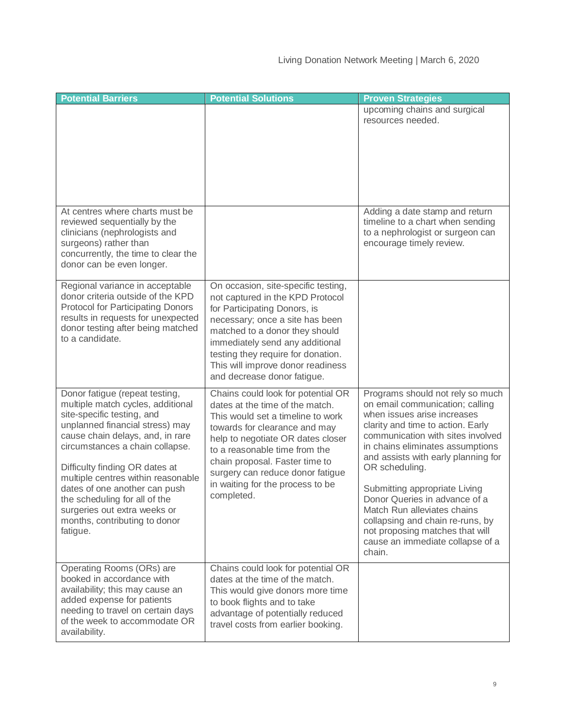| <b>Potential Barriers</b>                                                                                                                                                                                                                                                                                                                                                                                                          | <b>Potential Solutions</b>                                                                                                                                                                                                                                                                                                                | <b>Proven Strategies</b>                                                                                                                                                                                                                                                                                                                                                                                                                                                                        |
|------------------------------------------------------------------------------------------------------------------------------------------------------------------------------------------------------------------------------------------------------------------------------------------------------------------------------------------------------------------------------------------------------------------------------------|-------------------------------------------------------------------------------------------------------------------------------------------------------------------------------------------------------------------------------------------------------------------------------------------------------------------------------------------|-------------------------------------------------------------------------------------------------------------------------------------------------------------------------------------------------------------------------------------------------------------------------------------------------------------------------------------------------------------------------------------------------------------------------------------------------------------------------------------------------|
|                                                                                                                                                                                                                                                                                                                                                                                                                                    |                                                                                                                                                                                                                                                                                                                                           | upcoming chains and surgical<br>resources needed.                                                                                                                                                                                                                                                                                                                                                                                                                                               |
| At centres where charts must be<br>reviewed sequentially by the<br>clinicians (nephrologists and<br>surgeons) rather than<br>concurrently, the time to clear the<br>donor can be even longer.                                                                                                                                                                                                                                      |                                                                                                                                                                                                                                                                                                                                           | Adding a date stamp and return<br>timeline to a chart when sending<br>to a nephrologist or surgeon can<br>encourage timely review.                                                                                                                                                                                                                                                                                                                                                              |
| Regional variance in acceptable<br>donor criteria outside of the KPD<br>Protocol for Participating Donors<br>results in requests for unexpected<br>donor testing after being matched<br>to a candidate.                                                                                                                                                                                                                            | On occasion, site-specific testing,<br>not captured in the KPD Protocol<br>for Participating Donors, is<br>necessary; once a site has been<br>matched to a donor they should<br>immediately send any additional<br>testing they require for donation.<br>This will improve donor readiness<br>and decrease donor fatigue.                 |                                                                                                                                                                                                                                                                                                                                                                                                                                                                                                 |
| Donor fatigue (repeat testing,<br>multiple match cycles, additional<br>site-specific testing, and<br>unplanned financial stress) may<br>cause chain delays, and, in rare<br>circumstances a chain collapse.<br>Difficulty finding OR dates at<br>multiple centres within reasonable<br>dates of one another can push<br>the scheduling for all of the<br>surgeries out extra weeks or<br>months, contributing to donor<br>fatigue. | Chains could look for potential OR<br>dates at the time of the match.<br>This would set a timeline to work<br>towards for clearance and may<br>help to negotiate OR dates closer<br>to a reasonable time from the<br>chain proposal. Faster time to<br>surgery can reduce donor fatigue<br>in waiting for the process to be<br>completed. | Programs should not rely so much<br>on email communication; calling<br>when issues arise increases<br>clarity and time to action. Early<br>communication with sites involved<br>in chains eliminates assumptions<br>and assists with early planning for<br>OR scheduling.<br>Submitting appropriate Living<br>Donor Queries in advance of a<br>Match Run alleviates chains<br>collapsing and chain re-runs, by<br>not proposing matches that will<br>cause an immediate collapse of a<br>chain. |
| Operating Rooms (ORs) are<br>booked in accordance with<br>availability; this may cause an<br>added expense for patients<br>needing to travel on certain days<br>of the week to accommodate OR<br>availability.                                                                                                                                                                                                                     | Chains could look for potential OR<br>dates at the time of the match.<br>This would give donors more time<br>to book flights and to take<br>advantage of potentially reduced<br>travel costs from earlier booking.                                                                                                                        |                                                                                                                                                                                                                                                                                                                                                                                                                                                                                                 |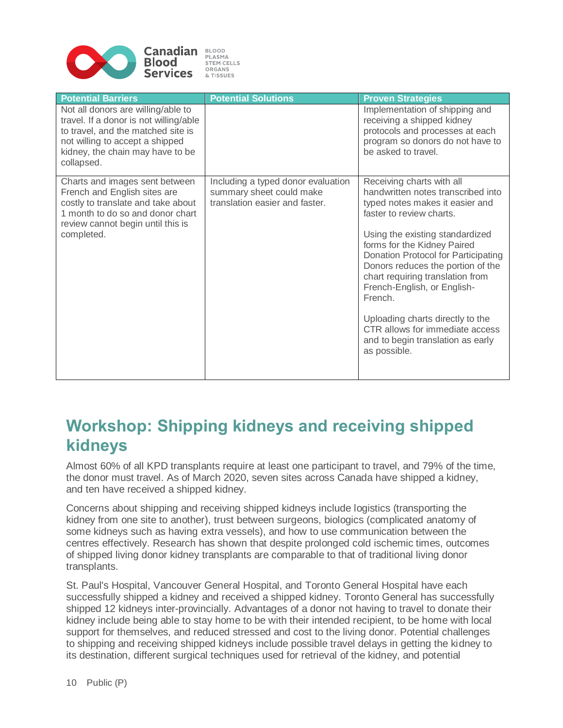

| <b>Potential Barriers</b>                                                                                                                                                                               | <b>Potential Solutions</b>                                                                       | <b>Proven Strategies</b>                                                                                                                                                                                                                                                                                                                                                                                                                                                               |
|---------------------------------------------------------------------------------------------------------------------------------------------------------------------------------------------------------|--------------------------------------------------------------------------------------------------|----------------------------------------------------------------------------------------------------------------------------------------------------------------------------------------------------------------------------------------------------------------------------------------------------------------------------------------------------------------------------------------------------------------------------------------------------------------------------------------|
| Not all donors are willing/able to<br>travel. If a donor is not willing/able<br>to travel, and the matched site is<br>not willing to accept a shipped<br>kidney, the chain may have to be<br>collapsed. |                                                                                                  | Implementation of shipping and<br>receiving a shipped kidney<br>protocols and processes at each<br>program so donors do not have to<br>be asked to travel.                                                                                                                                                                                                                                                                                                                             |
| Charts and images sent between<br>French and English sites are<br>costly to translate and take about<br>1 month to do so and donor chart<br>review cannot begin until this is<br>completed.             | Including a typed donor evaluation<br>summary sheet could make<br>translation easier and faster. | Receiving charts with all<br>handwritten notes transcribed into<br>typed notes makes it easier and<br>faster to review charts.<br>Using the existing standardized<br>forms for the Kidney Paired<br>Donation Protocol for Participating<br>Donors reduces the portion of the<br>chart requiring translation from<br>French-English, or English-<br>French.<br>Uploading charts directly to the<br>CTR allows for immediate access<br>and to begin translation as early<br>as possible. |

# **Workshop: Shipping kidneys and receiving shipped kidneys**

Almost 60% of all KPD transplants require at least one participant to travel, and 79% of the time, the donor must travel. As of March 2020, seven sites across Canada have shipped a kidney, and ten have received a shipped kidney.

Concerns about shipping and receiving shipped kidneys include logistics (transporting the kidney from one site to another), trust between surgeons, biologics (complicated anatomy of some kidneys such as having extra vessels), and how to use communication between the centres effectively. Research has shown that despite prolonged cold ischemic times, outcomes of shipped living donor kidney transplants are comparable to that of traditional living donor transplants.

St. Paul's Hospital, Vancouver General Hospital, and Toronto General Hospital have each successfully shipped a kidney and received a shipped kidney. Toronto General has successfully shipped 12 kidneys inter-provincially. Advantages of a donor not having to travel to donate their kidney include being able to stay home to be with their intended recipient, to be home with local support for themselves, and reduced stressed and cost to the living donor. Potential challenges to shipping and receiving shipped kidneys include possible travel delays in getting the kidney to its destination, different surgical techniques used for retrieval of the kidney, and potential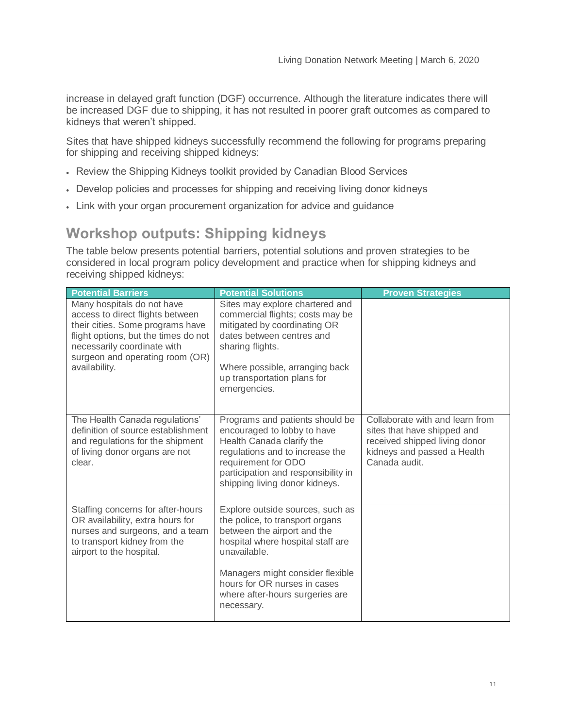increase in delayed graft function (DGF) occurrence. Although the literature indicates there will be increased DGF due to shipping, it has not resulted in poorer graft outcomes as compared to kidneys that weren't shipped.

Sites that have shipped kidneys successfully recommend the following for programs preparing for shipping and receiving shipped kidneys:

- Review the Shipping Kidneys toolkit provided by Canadian Blood Services
- Develop policies and processes for shipping and receiving living donor kidneys
- Link with your organ procurement organization for advice and guidance

### **Workshop outputs: Shipping kidneys**

The table below presents potential barriers, potential solutions and proven strategies to be considered in local program policy development and practice when for shipping kidneys and receiving shipped kidneys:

| <b>Potential Barriers</b>                                                                                                                                                                                                     | <b>Potential Solutions</b>                                                                                                                                                                                                            | <b>Proven Strategies</b>                                                                                                                        |
|-------------------------------------------------------------------------------------------------------------------------------------------------------------------------------------------------------------------------------|---------------------------------------------------------------------------------------------------------------------------------------------------------------------------------------------------------------------------------------|-------------------------------------------------------------------------------------------------------------------------------------------------|
| Many hospitals do not have<br>access to direct flights between<br>their cities. Some programs have<br>flight options, but the times do not<br>necessarily coordinate with<br>surgeon and operating room (OR)<br>availability. | Sites may explore chartered and<br>commercial flights; costs may be<br>mitigated by coordinating OR<br>dates between centres and<br>sharing flights.<br>Where possible, arranging back<br>up transportation plans for<br>emergencies. |                                                                                                                                                 |
| The Health Canada regulations'<br>definition of source establishment<br>and regulations for the shipment<br>of living donor organs are not<br>clear.                                                                          | Programs and patients should be<br>encouraged to lobby to have<br>Health Canada clarify the<br>regulations and to increase the<br>requirement for ODO<br>participation and responsibility in<br>shipping living donor kidneys.        | Collaborate with and learn from<br>sites that have shipped and<br>received shipped living donor<br>kidneys and passed a Health<br>Canada audit. |
| Staffing concerns for after-hours<br>OR availability, extra hours for<br>nurses and surgeons, and a team<br>to transport kidney from the<br>airport to the hospital.                                                          | Explore outside sources, such as<br>the police, to transport organs<br>between the airport and the<br>hospital where hospital staff are<br>unavailable.<br>Managers might consider flexible                                           |                                                                                                                                                 |
|                                                                                                                                                                                                                               | hours for OR nurses in cases<br>where after-hours surgeries are<br>necessary.                                                                                                                                                         |                                                                                                                                                 |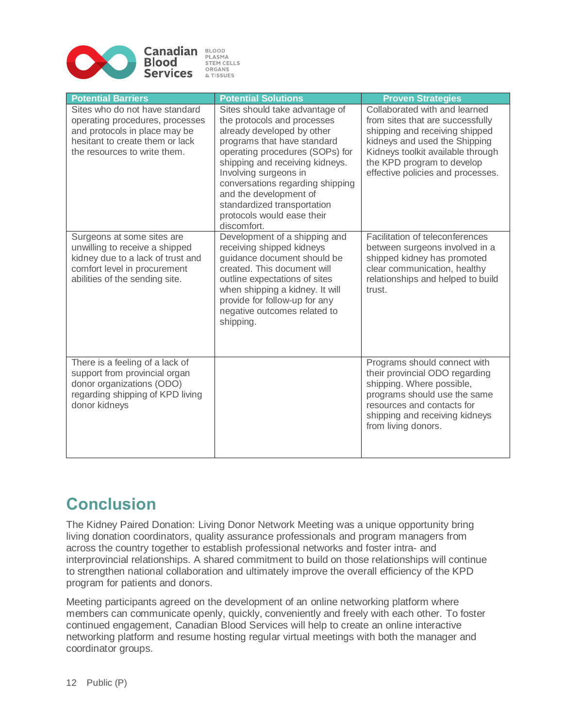

| <b>Potential Barriers</b>                                                                                                                                             | <b>Potential Solutions</b>                                                                                                                                                                                                                                                                                                                                          | <b>Proven Strategies</b>                                                                                                                                                                                                                     |
|-----------------------------------------------------------------------------------------------------------------------------------------------------------------------|---------------------------------------------------------------------------------------------------------------------------------------------------------------------------------------------------------------------------------------------------------------------------------------------------------------------------------------------------------------------|----------------------------------------------------------------------------------------------------------------------------------------------------------------------------------------------------------------------------------------------|
| Sites who do not have standard<br>operating procedures, processes<br>and protocols in place may be<br>hesitant to create them or lack<br>the resources to write them. | Sites should take advantage of<br>the protocols and processes<br>already developed by other<br>programs that have standard<br>operating procedures (SOPs) for<br>shipping and receiving kidneys.<br>Involving surgeons in<br>conversations regarding shipping<br>and the development of<br>standardized transportation<br>protocols would ease their<br>discomfort. | Collaborated with and learned<br>from sites that are successfully<br>shipping and receiving shipped<br>kidneys and used the Shipping<br>Kidneys toolkit available through<br>the KPD program to develop<br>effective policies and processes. |
| Surgeons at some sites are<br>unwilling to receive a shipped<br>kidney due to a lack of trust and<br>comfort level in procurement<br>abilities of the sending site.   | Development of a shipping and<br>receiving shipped kidneys<br>guidance document should be<br>created. This document will<br>outline expectations of sites<br>when shipping a kidney. It will<br>provide for follow-up for any<br>negative outcomes related to<br>shipping.                                                                                          | Facilitation of teleconferences<br>between surgeons involved in a<br>shipped kidney has promoted<br>clear communication, healthy<br>relationships and helped to build<br>trust.                                                              |
| There is a feeling of a lack of<br>support from provincial organ<br>donor organizations (ODO)<br>regarding shipping of KPD living<br>donor kidneys                    |                                                                                                                                                                                                                                                                                                                                                                     | Programs should connect with<br>their provincial ODO regarding<br>shipping. Where possible,<br>programs should use the same<br>resources and contacts for<br>shipping and receiving kidneys<br>from living donors.                           |

# **Conclusion**

The Kidney Paired Donation: Living Donor Network Meeting was a unique opportunity bring living donation coordinators, quality assurance professionals and program managers from across the country together to establish professional networks and foster intra- and interprovincial relationships. A shared commitment to build on those relationships will continue to strengthen national collaboration and ultimately improve the overall efficiency of the KPD program for patients and donors.

Meeting participants agreed on the development of an online networking platform where members can communicate openly, quickly, conveniently and freely with each other. To foster continued engagement, Canadian Blood Services will help to create an online interactive networking platform and resume hosting regular virtual meetings with both the manager and coordinator groups.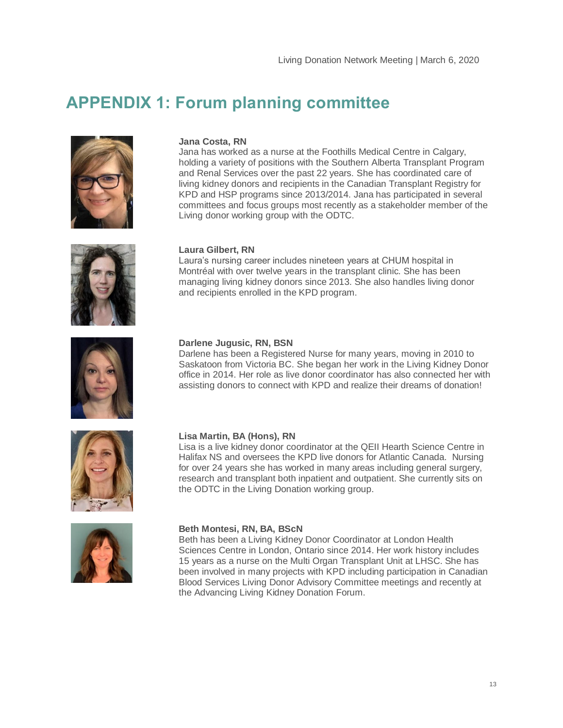### **APPENDIX 1: Forum planning committee**



#### **Jana Costa, RN**

Jana has worked as a nurse at the Foothills Medical Centre in Calgary, holding a variety of positions with the Southern Alberta Transplant Program and Renal Services over the past 22 years. She has coordinated care of living kidney donors and recipients in the Canadian Transplant Registry for KPD and HSP programs since 2013/2014. Jana has participated in several committees and focus groups most recently as a stakeholder member of the Living donor working group with the ODTC.



#### **Laura Gilbert, RN**

Laura's nursing career includes nineteen years at CHUM hospital in Montréal with over twelve years in the transplant clinic. She has been managing living kidney donors since 2013. She also handles living donor and recipients enrolled in the KPD program.



#### **Darlene Jugusic, RN, BSN**

Darlene has been a Registered Nurse for many years, moving in 2010 to Saskatoon from Victoria BC. She began her work in the Living Kidney Donor office in 2014. Her role as live donor coordinator has also connected her with assisting donors to connect with KPD and realize their dreams of donation!



#### **Lisa Martin, BA (Hons), RN**

Lisa is a live kidney donor coordinator at the QEII Hearth Science Centre in Halifax NS and oversees the KPD live donors for Atlantic Canada. Nursing for over 24 years she has worked in many areas including general surgery, research and transplant both inpatient and outpatient. She currently sits on the ODTC in the Living Donation working group.



#### **Beth Montesi, RN, BA, BScN**

Beth has been a Living Kidney Donor Coordinator at London Health Sciences Centre in London, Ontario since 2014. Her work history includes 15 years as a nurse on the Multi Organ Transplant Unit at LHSC. She has been involved in many projects with KPD including participation in Canadian Blood Services Living Donor Advisory Committee meetings and recently at the Advancing Living Kidney Donation Forum.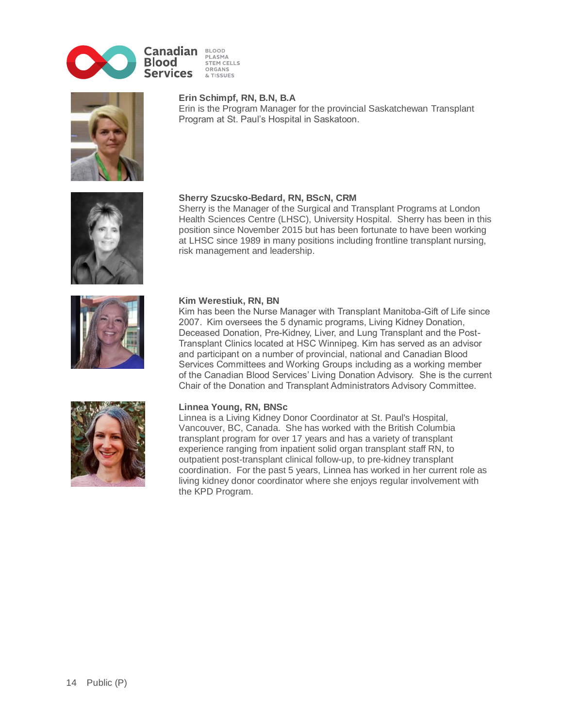

BLOOD<br>PLASMA STEM CELLS ORGANS & TISSUES



#### **Erin Schimpf, RN, B.N, B.A**

Erin is the Program Manager for the provincial Saskatchewan Transplant Program at St. Paul's Hospital in Saskatoon.



#### **Sherry Szucsko-Bedard, RN, BScN, CRM**

Sherry is the Manager of the Surgical and Transplant Programs at London Health Sciences Centre (LHSC), University Hospital. Sherry has been in this position since November 2015 but has been fortunate to have been working at LHSC since 1989 in many positions including frontline transplant nursing, risk management and leadership.



#### **Kim Werestiuk, RN, BN**

Kim has been the Nurse Manager with Transplant Manitoba-Gift of Life since 2007. Kim oversees the 5 dynamic programs, Living Kidney Donation, Deceased Donation, Pre-Kidney, Liver, and Lung Transplant and the Post-Transplant Clinics located at HSC Winnipeg. Kim has served as an advisor and participant on a number of provincial, national and Canadian Blood Services Committees and Working Groups including as a working member of the Canadian Blood Services' Living Donation Advisory. She is the current Chair of the Donation and Transplant Administrators Advisory Committee.



#### **Linnea Young, RN, BNSc**

Linnea is a Living Kidney Donor Coordinator at St. Paul's Hospital, Vancouver, BC, Canada. She has worked with the British Columbia transplant program for over 17 years and has a variety of transplant experience ranging from inpatient solid organ transplant staff RN, to outpatient post-transplant clinical follow-up, to pre-kidney transplant coordination. For the past 5 years, Linnea has worked in her current role as living kidney donor coordinator where she enjoys regular involvement with the KPD Program.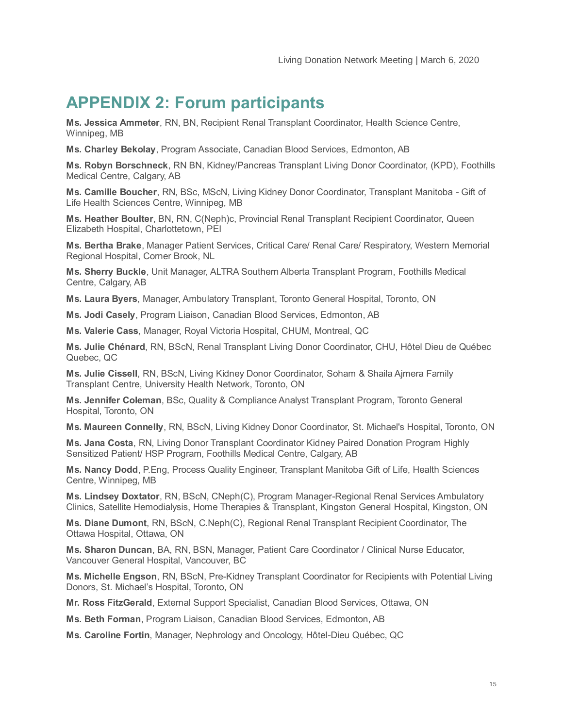# **APPENDIX 2: Forum participants**

**Ms. Jessica Ammeter**, RN, BN, Recipient Renal Transplant Coordinator, Health Science Centre, Winnipeg, MB

**Ms. Charley Bekolay**, Program Associate, Canadian Blood Services, Edmonton, AB

**Ms. Robyn Borschneck**, RN BN, Kidney/Pancreas Transplant Living Donor Coordinator, (KPD), Foothills Medical Centre, Calgary, AB

**Ms. Camille Boucher**, RN, BSc, MScN, Living Kidney Donor Coordinator, Transplant Manitoba - Gift of Life Health Sciences Centre, Winnipeg, MB

**Ms. Heather Boulter**, BN, RN, C(Neph)c, Provincial Renal Transplant Recipient Coordinator, Queen Elizabeth Hospital, Charlottetown, PEI

**Ms. Bertha Brake**, Manager Patient Services, Critical Care/ Renal Care/ Respiratory, Western Memorial Regional Hospital, Corner Brook, NL

**Ms. Sherry Buckle**, Unit Manager, ALTRA Southern Alberta Transplant Program, Foothills Medical Centre, Calgary, AB

**Ms. Laura Byers**, Manager, Ambulatory Transplant, Toronto General Hospital, Toronto, ON

**Ms. Jodi Casely**, Program Liaison, Canadian Blood Services, Edmonton, AB

**Ms. Valerie Cass**, Manager, Royal Victoria Hospital, CHUM, Montreal, QC

**Ms. Julie Chénard**, RN, BScN, Renal Transplant Living Donor Coordinator, CHU, Hôtel Dieu de Québec Quebec, QC

**Ms. Julie Cissell**, RN, BScN, Living Kidney Donor Coordinator, Soham & Shaila Ajmera Family Transplant Centre, University Health Network, Toronto, ON

**Ms. Jennifer Coleman**, BSc, Quality & Compliance Analyst Transplant Program, Toronto General Hospital, Toronto, ON

**Ms. Maureen Connelly**, RN, BScN, Living Kidney Donor Coordinator, St. Michael's Hospital, Toronto, ON

**Ms. Jana Costa**, RN, Living Donor Transplant Coordinator Kidney Paired Donation Program Highly Sensitized Patient/ HSP Program, Foothills Medical Centre, Calgary, AB

**Ms. Nancy Dodd**, P.Eng, Process Quality Engineer, Transplant Manitoba Gift of Life, Health Sciences Centre, Winnipeg, MB

**Ms. Lindsey Doxtator**, RN, BScN, CNeph(C), Program Manager-Regional Renal Services Ambulatory Clinics, Satellite Hemodialysis, Home Therapies & Transplant, Kingston General Hospital, Kingston, ON

**Ms. Diane Dumont**, RN, BScN, C.Neph(C), Regional Renal Transplant Recipient Coordinator, The Ottawa Hospital, Ottawa, ON

**Ms. Sharon Duncan**, BA, RN, BSN, Manager, Patient Care Coordinator / Clinical Nurse Educator, Vancouver General Hospital, Vancouver, BC

**Ms. Michelle Engson**, RN, BScN, Pre-Kidney Transplant Coordinator for Recipients with Potential Living Donors, St. Michael's Hospital, Toronto, ON

**Mr. Ross FitzGerald**, External Support Specialist, Canadian Blood Services, Ottawa, ON

**Ms. Beth Forman**, Program Liaison, Canadian Blood Services, Edmonton, AB

**Ms. Caroline Fortin**, Manager, Nephrology and Oncology, Hôtel-Dieu Québec, QC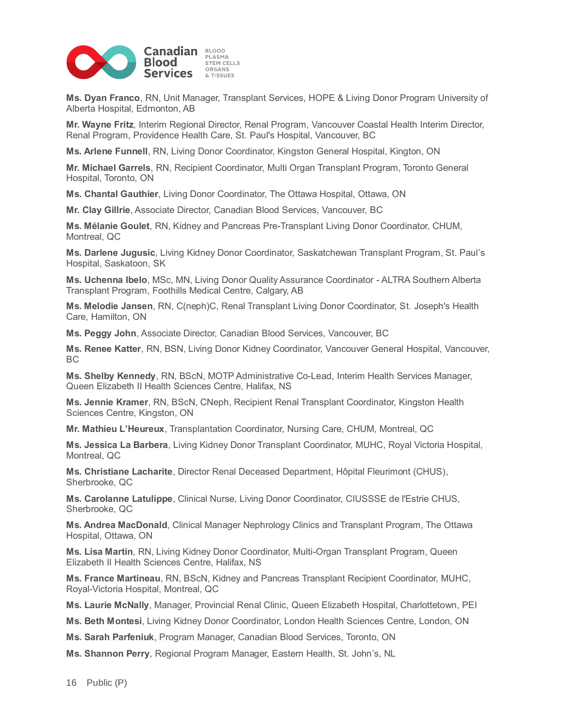

**Ms. Dyan Franco**, RN, Unit Manager, Transplant Services, HOPE & Living Donor Program University of Alberta Hospital, Edmonton, AB

**Mr. Wayne Fritz**, Interim Regional Director, Renal Program, Vancouver Coastal Health Interim Director, Renal Program, Providence Health Care, St. Paul's Hospital, Vancouver, BC

**Ms. Arlene Funnell**, RN, Living Donor Coordinator, Kingston General Hospital, Kington, ON

**Mr. Michael Garrels**, RN, Recipient Coordinator, Multi Organ Transplant Program, Toronto General Hospital, Toronto, ON

**Ms. Chantal Gauthier**, Living Donor Coordinator, The Ottawa Hospital, Ottawa, ON

**Mr. Clay Gillrie**, Associate Director, Canadian Blood Services, Vancouver, BC

**Ms. Mélanie Goulet**, RN, Kidney and Pancreas Pre-Transplant Living Donor Coordinator, CHUM, Montreal, QC

**Ms. Darlene Jugusic**, Living Kidney Donor Coordinator, Saskatchewan Transplant Program, St. Paul's Hospital, Saskatoon, SK

**Ms. Uchenna Ibelo**, MSc, MN, Living Donor Quality Assurance Coordinator - ALTRA Southern Alberta Transplant Program, Foothills Medical Centre, Calgary, AB

**Ms. Melodie Jansen**, RN, C(neph)C, Renal Transplant Living Donor Coordinator, St. Joseph's Health Care, Hamilton, ON

**Ms. Peggy John**, Associate Director, Canadian Blood Services, Vancouver, BC

**Ms. Renee Katter**, RN, BSN, Living Donor Kidney Coordinator, Vancouver General Hospital, Vancouver, BC

**Ms. Shelby Kennedy**, RN, BScN, MOTP Administrative Co-Lead, Interim Health Services Manager, Queen Elizabeth II Health Sciences Centre, Halifax, NS

**Ms. Jennie Kramer**, RN, BScN, CNeph, Recipient Renal Transplant Coordinator, Kingston Health Sciences Centre, Kingston, ON

**Mr. Mathieu L'Heureux**, Transplantation Coordinator, Nursing Care, CHUM, Montreal, QC

**Ms. Jessica La Barbera**, Living Kidney Donor Transplant Coordinator, MUHC, Royal Victoria Hospital, Montreal, QC

**Ms. Christiane Lacharite**, Director Renal Deceased Department, Hôpital Fleurimont (CHUS), Sherbrooke, QC

**Ms. Carolanne Latulippe**, Clinical Nurse, Living Donor Coordinator, CIUSSSE de l'Estrie CHUS, Sherbrooke, QC

**Ms. Andrea MacDonald**, Clinical Manager Nephrology Clinics and Transplant Program, The Ottawa Hospital, Ottawa, ON

**Ms. Lisa Martin**, RN, Living Kidney Donor Coordinator, Multi-Organ Transplant Program, Queen Elizabeth II Health Sciences Centre, Halifax, NS

**Ms. France Martineau**, RN, BScN, Kidney and Pancreas Transplant Recipient Coordinator, MUHC, Royal-Victoria Hospital, Montreal, QC

**Ms. Laurie McNally**, Manager, Provincial Renal Clinic, Queen Elizabeth Hospital, Charlottetown, PEI

**Ms. Beth Montesi**, Living Kidney Donor Coordinator, London Health Sciences Centre, London, ON

**Ms. Sarah Parfeniuk**, Program Manager, Canadian Blood Services, Toronto, ON

**Ms. Shannon Perry**, Regional Program Manager, Eastern Health, St. John's, NL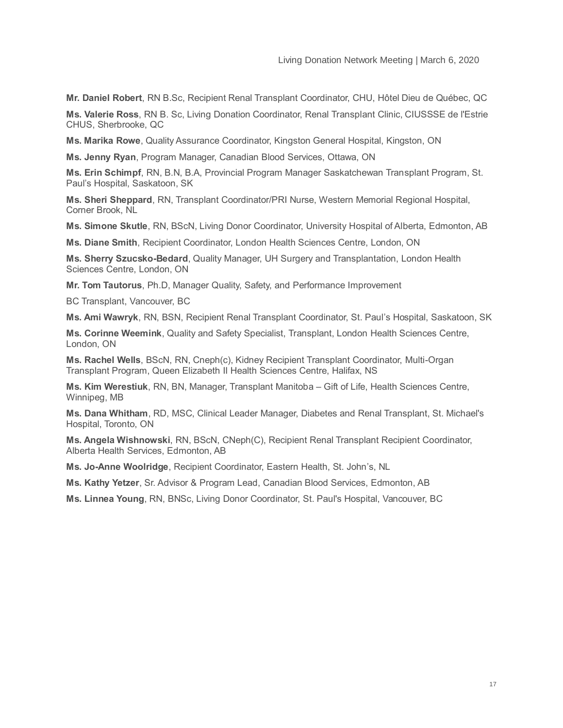**Mr. Daniel Robert**, RN B.Sc, Recipient Renal Transplant Coordinator, CHU, Hôtel Dieu de Québec, QC

**Ms. Valerie Ross**, RN B. Sc, Living Donation Coordinator, Renal Transplant Clinic, CIUSSSE de l'Estrie CHUS, Sherbrooke, QC

**Ms. Marika Rowe**, Quality Assurance Coordinator, Kingston General Hospital, Kingston, ON

**Ms. Jenny Ryan**, Program Manager, Canadian Blood Services, Ottawa, ON

**Ms. Erin Schimpf**, RN, B.N, B.A, Provincial Program Manager Saskatchewan Transplant Program, St. Paul's Hospital, Saskatoon, SK

**Ms. Sheri Sheppard**, RN, Transplant Coordinator/PRI Nurse, Western Memorial Regional Hospital, Corner Brook, NL

**Ms. Simone Skutle**, RN, BScN, Living Donor Coordinator, University Hospital of Alberta, Edmonton, AB

**Ms. Diane Smith**, Recipient Coordinator, London Health Sciences Centre, London, ON

**Ms. Sherry Szucsko-Bedard**, Quality Manager, UH Surgery and Transplantation, London Health Sciences Centre, London, ON

**Mr. Tom Tautorus**, Ph.D, Manager Quality, Safety, and Performance Improvement

BC Transplant, Vancouver, BC

**Ms. Ami Wawryk**, RN, BSN, Recipient Renal Transplant Coordinator, St. Paul's Hospital, Saskatoon, SK

**Ms. Corinne Weemink**, Quality and Safety Specialist, Transplant, London Health Sciences Centre, London, ON

**Ms. Rachel Wells**, BScN, RN, Cneph(c), Kidney Recipient Transplant Coordinator, Multi-Organ Transplant Program, Queen Elizabeth II Health Sciences Centre, Halifax, NS

**Ms. Kim Werestiuk**, RN, BN, Manager, Transplant Manitoba – Gift of Life, Health Sciences Centre, Winnipeg, MB

**Ms. Dana Whitham**, RD, MSC, Clinical Leader Manager, Diabetes and Renal Transplant, St. Michael's Hospital, Toronto, ON

**Ms. Angela Wishnowski**, RN, BScN, CNeph(C), Recipient Renal Transplant Recipient Coordinator, Alberta Health Services, Edmonton, AB

**Ms. Jo-Anne Woolridge**, Recipient Coordinator, Eastern Health, St. John's, NL

**Ms. Kathy Yetzer**, Sr. Advisor & Program Lead, Canadian Blood Services, Edmonton, AB

**Ms. Linnea Young**, RN, BNSc, Living Donor Coordinator, St. Paul's Hospital, Vancouver, BC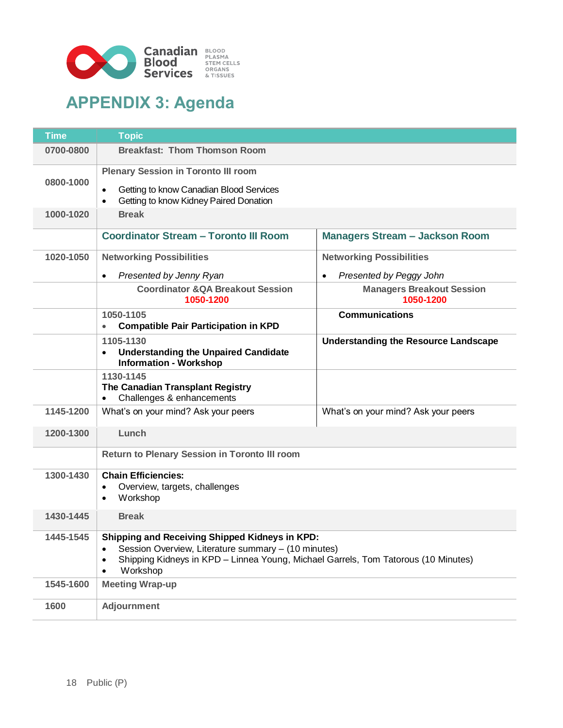

# **APPENDIX 3: Agenda**

| <b>Time</b> | <b>Topic</b>                                                                                                                                                                                                                                   |                                               |  |
|-------------|------------------------------------------------------------------------------------------------------------------------------------------------------------------------------------------------------------------------------------------------|-----------------------------------------------|--|
| 0700-0800   | <b>Breakfast: Thom Thomson Room</b>                                                                                                                                                                                                            |                                               |  |
|             | <b>Plenary Session in Toronto III room</b>                                                                                                                                                                                                     |                                               |  |
| 0800-1000   | Getting to know Canadian Blood Services<br>$\bullet$<br>Getting to know Kidney Paired Donation<br>$\bullet$                                                                                                                                    |                                               |  |
| 1000-1020   | <b>Break</b>                                                                                                                                                                                                                                   |                                               |  |
|             | <b>Coordinator Stream - Toronto III Room</b>                                                                                                                                                                                                   | <b>Managers Stream - Jackson Room</b>         |  |
| 1020-1050   | <b>Networking Possibilities</b>                                                                                                                                                                                                                | <b>Networking Possibilities</b>               |  |
|             | Presented by Jenny Ryan<br>$\bullet$                                                                                                                                                                                                           | Presented by Peggy John<br>$\bullet$          |  |
|             | <b>Coordinator &amp; QA Breakout Session</b><br>1050-1200                                                                                                                                                                                      | <b>Managers Breakout Session</b><br>1050-1200 |  |
|             | 1050-1105<br><b>Compatible Pair Participation in KPD</b>                                                                                                                                                                                       | <b>Communications</b>                         |  |
|             | 1105-1130<br><b>Understanding the Unpaired Candidate</b><br><b>Information - Workshop</b>                                                                                                                                                      | <b>Understanding the Resource Landscape</b>   |  |
|             | 1130-1145<br>The Canadian Transplant Registry<br>Challenges & enhancements                                                                                                                                                                     |                                               |  |
| 1145-1200   | What's on your mind? Ask your peers                                                                                                                                                                                                            | What's on your mind? Ask your peers           |  |
| 1200-1300   | Lunch                                                                                                                                                                                                                                          |                                               |  |
|             | <b>Return to Plenary Session in Toronto III room</b>                                                                                                                                                                                           |                                               |  |
| 1300-1430   | <b>Chain Efficiencies:</b><br>Overview, targets, challenges<br>Workshop<br>$\bullet$                                                                                                                                                           |                                               |  |
| 1430-1445   | <b>Break</b>                                                                                                                                                                                                                                   |                                               |  |
| 1445-1545   | Shipping and Receiving Shipped Kidneys in KPD:<br>Session Overview, Literature summary - (10 minutes)<br>$\bullet$<br>Shipping Kidneys in KPD - Linnea Young, Michael Garrels, Tom Tatorous (10 Minutes)<br>$\bullet$<br>Workshop<br>$\bullet$ |                                               |  |
| 1545-1600   | <b>Meeting Wrap-up</b>                                                                                                                                                                                                                         |                                               |  |
| 1600        | <b>Adjournment</b>                                                                                                                                                                                                                             |                                               |  |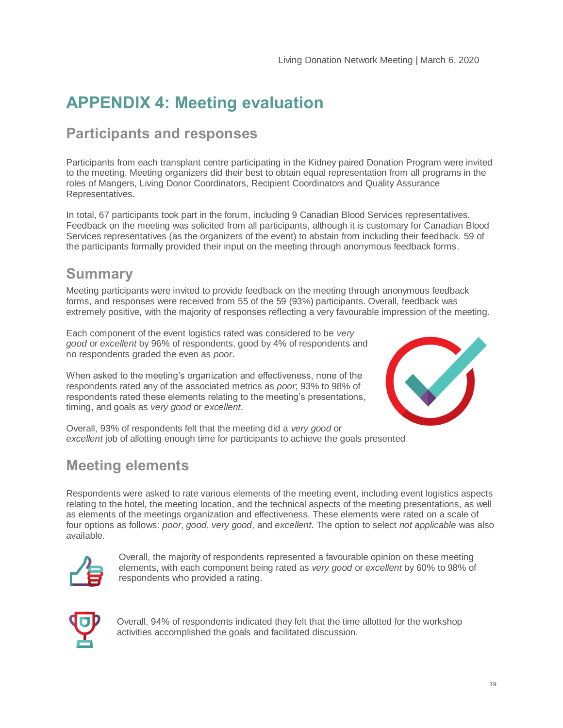# **APPENDIX 4: Meeting evaluation**

### **Participants and responses**

Participants from each transplant centre participating in the Kidney paired Donation Program were invited to the meeting. Meeting organizers did their best to obtain equal representation from all programs in the roles of Mangers, Living Donor Coordinators, Recipient Coordinators and Quality Assurance Representatives.

In total, 67 participants took part in the forum, including 9 Canadian Blood Services representatives. Feedback on the meeting was solicited from all participants, although it is customary for Canadian Blood Services representatives (as the organizers of the event) to abstain from including their feedback. 59 of the participants formally provided their input on the meeting through anonymous feedback forms.

### **Summary**

Meeting participants were invited to provide feedback on the meeting through anonymous feedback forms, and responses were received from 55 of the 59 (93%) participants. Overall, feedback was extremely positive, with the majority of responses reflecting a very favourable impression of the meeting.

Each component of the event logistics rated was considered to be *very good* or *excellent* by 96% of respondents, good by 4% of respondents and no respondents graded the even as *poor*.

When asked to the meeting's organization and effectiveness, none of the respondents rated any of the associated metrics as *poor*; 93% to 98% of respondents rated these elements relating to the meeting's presentations, timing, and goals as *very good* or *excellent*.



Overall, 93% of respondents felt that the meeting did a *very good* or *excellent* job of allotting enough time for participants to achieve the goals presented

### **Meeting elements**

Respondents were asked to rate various elements of the meeting event, including event logistics aspects relating to the hotel, the meeting location, and the technical aspects of the meeting presentations, as well as elements of the meetings organization and effectiveness. These elements were rated on a scale of four options as follows: *poor*, *good*, *very good*, and *excellent*. The option to select *not applicable* was also available.



Overall, the majority of respondents represented a favourable opinion on these meeting elements, with each component being rated as *very good* or *excellent* by 60% to 98% of respondents who provided a rating.



Overall, 94% of respondents indicated they felt that the time allotted for the workshop activities accomplished the goals and facilitated discussion.